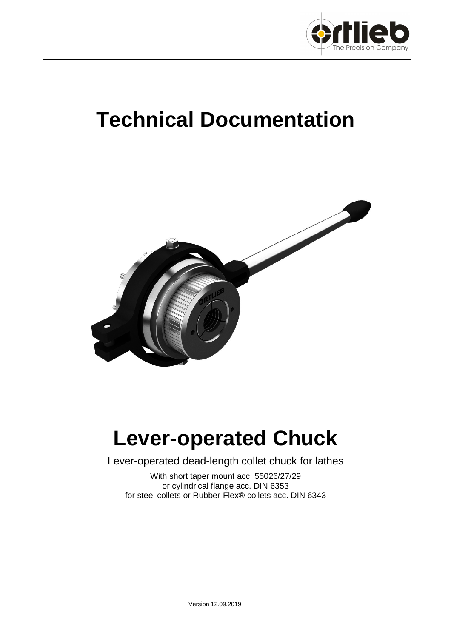

# **Technical Documentation**



# **Lever-operated Chuck**

Lever-operated dead-length collet chuck for lathes

With short taper mount acc. 55026/27/29 or cylindrical flange acc. DIN 6353 for steel collets or Rubber-Flex® collets acc. DIN 6343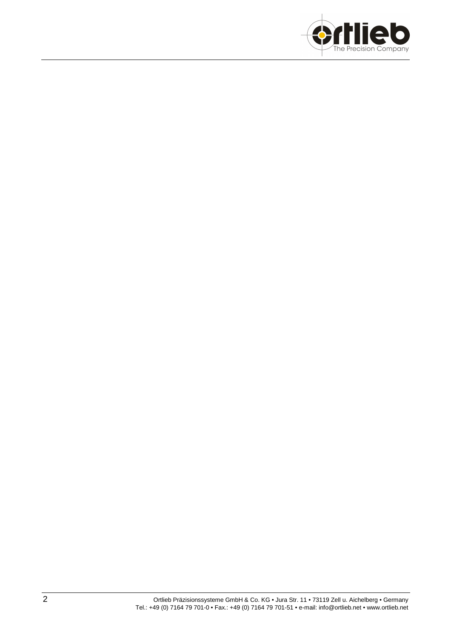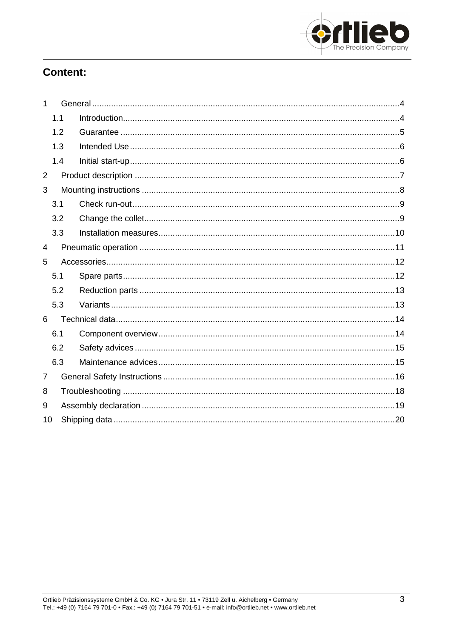

# **Content:**

| 1              |     |  |  |  |  |  |
|----------------|-----|--|--|--|--|--|
|                | 1.1 |  |  |  |  |  |
|                | 1.2 |  |  |  |  |  |
|                | 1.3 |  |  |  |  |  |
|                | 1.4 |  |  |  |  |  |
| $\overline{2}$ |     |  |  |  |  |  |
| 3              |     |  |  |  |  |  |
|                | 3.1 |  |  |  |  |  |
|                | 3.2 |  |  |  |  |  |
|                | 3.3 |  |  |  |  |  |
| 4              |     |  |  |  |  |  |
| 5              |     |  |  |  |  |  |
|                | 5.1 |  |  |  |  |  |
|                | 5.2 |  |  |  |  |  |
|                | 5.3 |  |  |  |  |  |
| 6              |     |  |  |  |  |  |
|                | 6.1 |  |  |  |  |  |
|                | 6.2 |  |  |  |  |  |
|                | 6.3 |  |  |  |  |  |
| 7              |     |  |  |  |  |  |
| 8              |     |  |  |  |  |  |
| 9              |     |  |  |  |  |  |
| 10             |     |  |  |  |  |  |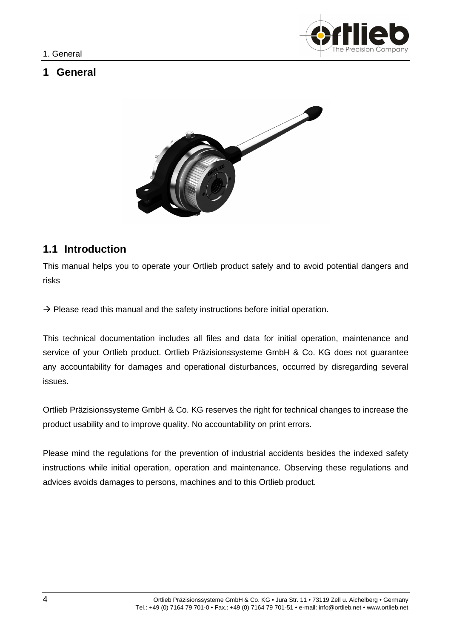

## **1 General**



## **1.1 Introduction**

This manual helps you to operate your Ortlieb product safely and to avoid potential dangers and risks

 $\rightarrow$  Please read this manual and the safety instructions before initial operation.

This technical documentation includes all files and data for initial operation, maintenance and service of your Ortlieb product. Ortlieb Präzisionssysteme GmbH & Co. KG does not guarantee any accountability for damages and operational disturbances, occurred by disregarding several issues.

Ortlieb Präzisionssysteme GmbH & Co. KG reserves the right for technical changes to increase the product usability and to improve quality. No accountability on print errors.

Please mind the regulations for the prevention of industrial accidents besides the indexed safety instructions while initial operation, operation and maintenance. Observing these regulations and advices avoids damages to persons, machines and to this Ortlieb product.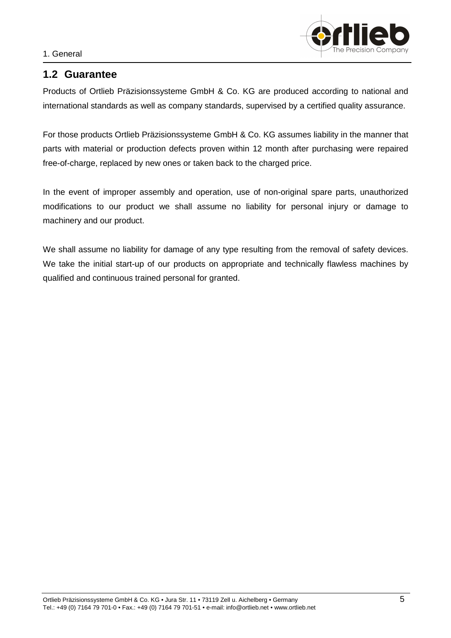#### 1. General



## **1.2 Guarantee**

Products of Ortlieb Präzisionssysteme GmbH & Co. KG are produced according to national and international standards as well as company standards, supervised by a certified quality assurance.

For those products Ortlieb Präzisionssysteme GmbH & Co. KG assumes liability in the manner that parts with material or production defects proven within 12 month after purchasing were repaired free-of-charge, replaced by new ones or taken back to the charged price.

In the event of improper assembly and operation, use of non-original spare parts, unauthorized modifications to our product we shall assume no liability for personal injury or damage to machinery and our product.

We shall assume no liability for damage of any type resulting from the removal of safety devices. We take the initial start-up of our products on appropriate and technically flawless machines by qualified and continuous trained personal for granted.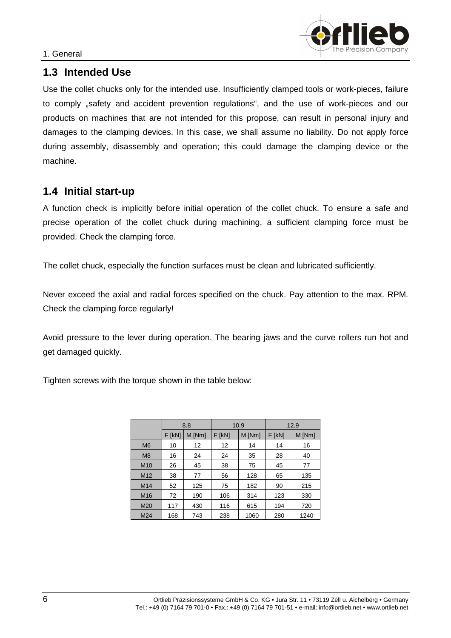#### 1. General



## **1.3 Intended Use**

Use the collet chucks only for the intended use. Insufficiently clamped tools or work-pieces, failure to comply "safety and accident prevention regulations", and the use of work-pieces and our products on machines that are not intended for this propose, can result in personal injury and damages to the clamping devices. In this case, we shall assume no liability. Do not apply force during assembly, disassembly and operation; this could damage the clamping device or the machine.

## **1.4 Initial start-up**

A function check is implicitly before initial operation of the collet chuck. To ensure a safe and precise operation of the collet chuck during machining, a sufficient clamping force must be provided. Check the clamping force.

The collet chuck, especially the function surfaces must be clean and lubricated sufficiently.

Never exceed the axial and radial forces specified on the chuck. Pay attention to the max. RPM. Check the clamping force regularly!

Avoid pressure to the lever during operation. The bearing jaws and the curve rollers run hot and get damaged quickly.

Tighten screws with the torque shown in the table below:

|                 | 8.8      |        | 10.9     |        | 12.9   |        |
|-----------------|----------|--------|----------|--------|--------|--------|
|                 | $F$ [kN] | M [Nm] | $F$ [kN] | M [Nm] | F [kN] | M [Nm] |
| M <sub>6</sub>  | 10       | 12     | 12       | 14     | 14     | 16     |
| M8              | 16       | 24     | 24       | 35     | 28     | 40     |
| M <sub>10</sub> | 26       | 45     | 38       | 75     | 45     | 77     |
| M <sub>12</sub> | 38       | 77     | 56       | 128    | 65     | 135    |
| M <sub>14</sub> | 52       | 125    | 75       | 182    | 90     | 215    |
| M16             | 72       | 190    | 106      | 314    | 123    | 330    |
| M20             | 117      | 430    | 116      | 615    | 194    | 720    |
| M24             | 168      | 743    | 238      | 1060   | 280    | 1240   |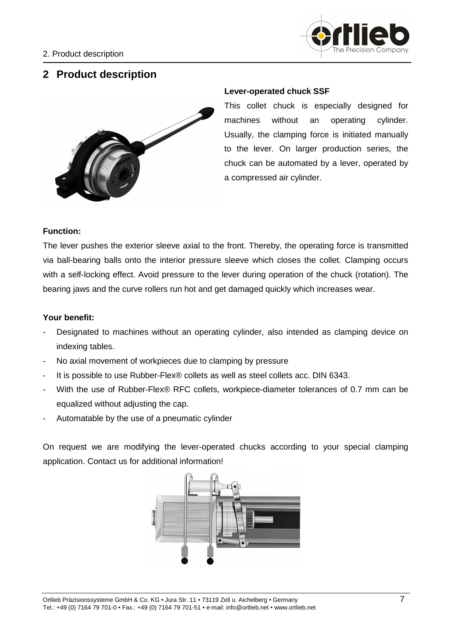#### 2. Product description



### **2 Product description**



#### **Lever-operated chuck SSF**

This collet chuck is especially designed for machines without an operating cylinder. Usually, the clamping force is initiated manually to the lever. On larger production series, the chuck can be automated by a lever, operated by a compressed air cylinder.

#### **Function:**

The lever pushes the exterior sleeve axial to the front. Thereby, the operating force is transmitted via ball-bearing balls onto the interior pressure sleeve which closes the collet. Clamping occurs with a self-locking effect. Avoid pressure to the lever during operation of the chuck (rotation). The bearing jaws and the curve rollers run hot and get damaged quickly which increases wear.

#### **Your benefit:**

- Designated to machines without an operating cylinder, also intended as clamping device on indexing tables.
- No axial movement of workpieces due to clamping by pressure
- It is possible to use Rubber-Flex® collets as well as steel collets acc. DIN 6343.
- With the use of Rubber-Flex® RFC collets, workpiece-diameter tolerances of 0.7 mm can be equalized without adjusting the cap.
- Automatable by the use of a pneumatic cylinder

On request we are modifying the lever-operated chucks according to your special clamping application. Contact us for additional information!

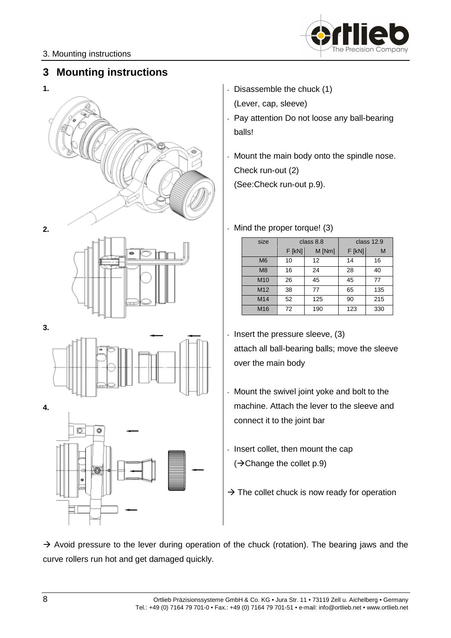

## **3 Mounting instructions**





**3.**

**2.**





- (Lever, cap, sleeve)
- Pay attention Do not loose any ball-bearing balls!
- Mount the main body onto the spindle nose. Check run-out (2) (See:Check run-out p.9).

#### - Mind the proper torque! (3)

| size            |                      | class 8.8 |          | class 12.9 |
|-----------------|----------------------|-----------|----------|------------|
|                 | $F$ [kN]<br>$M$ [Nm] |           | $F$ [kN] | M          |
| M <sub>6</sub>  | 10                   | 12        | 14       | 16         |
| M <sub>8</sub>  | 16                   | 24        | 28       | 40         |
| M <sub>10</sub> | 26                   | 45        | 45       | 77         |
| M <sub>12</sub> | 38                   | 77        | 65       | 135        |
| M14             | 52                   | 125       | 90       | 215        |
| M16             | 72                   | 190       | 123      | 330        |

- Insert the pressure sleeve, (3) attach all ball-bearing balls; move the sleeve over the main body
- Mount the swivel joint yoke and bolt to the machine. Attach the lever to the sleeve and connect it to the joint bar
- Insert collet, then mount the cap  $(\rightarrow$ Change the collet p.9)
- $\rightarrow$  The collet chuck is now ready for operation

 $\rightarrow$  Avoid pressure to the lever during operation of the chuck (rotation). The bearing jaws and the curve rollers run hot and get damaged quickly.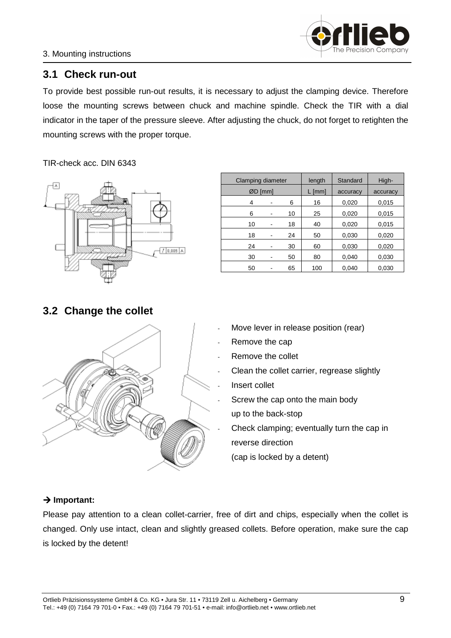

## **3.1 Check run-out**

To provide best possible run-out results, it is necessary to adjust the clamping device. Therefore loose the mounting screws between chuck and machine spindle. Check the TIR with a dial indicator in the taper of the pressure sleeve. After adjusting the chuck, do not forget to retighten the mounting screws with the proper torque.

#### TIR-check acc. DIN 6343



|    | Clamping diameter |    | length | Standard | High-    |
|----|-------------------|----|--------|----------|----------|
|    | ØD [mm]           |    |        | accuracy | accuracy |
| 4  |                   | 6  | 16     | 0,020    | 0,015    |
| 6  |                   | 10 | 25     | 0,020    | 0,015    |
| 10 |                   | 18 | 40     | 0,020    | 0,015    |
| 18 |                   | 24 | 50     | 0,030    | 0,020    |
| 24 |                   | 30 | 60     | 0,030    | 0,020    |
| 30 |                   | 50 | 80     | 0,040    | 0,030    |
| 50 |                   | 65 | 100    | 0,040    | 0,030    |

## **3.2 Change the collet**



- Move lever in release position (rear)
- Remove the cap
- Remove the collet
- Clean the collet carrier, regrease slightly
- Insert collet
- Screw the cap onto the main body up to the back-stop
- Check clamping; eventually turn the cap in reverse direction

(cap is locked by a detent)

#### **→ Important:**

Please pay attention to a clean collet-carrier, free of dirt and chips, especially when the collet is changed. Only use intact, clean and slightly greased collets. Before operation, make sure the cap is locked by the detent!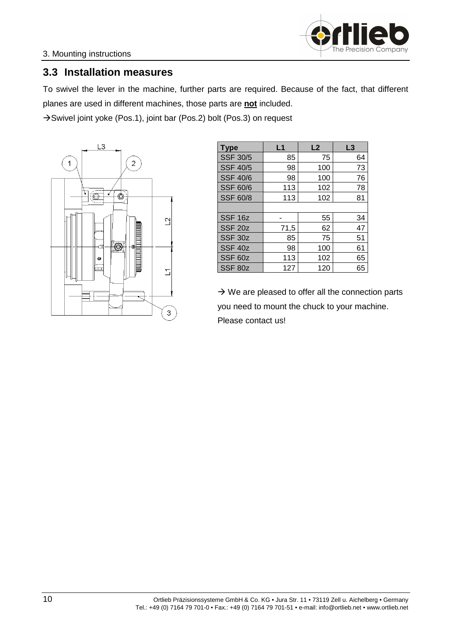

## **3.3 Installation measures**

To swivel the lever in the machine, further parts are required. Because of the fact, that different planes are used in different machines, those parts are **not** included.

→ Swivel joint yoke (Pos.1), joint bar (Pos.2) bolt (Pos.3) on request



| <b>Type</b>        | L1   | L2  | L3 |
|--------------------|------|-----|----|
| <b>SSF 30/5</b>    | 85   | 75  | 64 |
| <b>SSF 40/5</b>    | 98   | 100 | 73 |
| <b>SSF 40/6</b>    | 98   | 100 | 76 |
| <b>SSF 60/6</b>    | 113  | 102 | 78 |
| <b>SSF 60/8</b>    | 113  | 102 | 81 |
|                    |      |     |    |
| SSF <sub>16z</sub> |      | 55  | 34 |
| SSF <sub>20z</sub> | 71,5 | 62  | 47 |
| SSF 30z            | 85   | 75  | 51 |
| SSF 40z            | 98   | 100 | 61 |
| SSF 60z            | 113  | 102 | 65 |
| SSF 80z            | 127  | 120 | 65 |

 $\rightarrow$  We are pleased to offer all the connection parts you need to mount the chuck to your machine. Please contact us!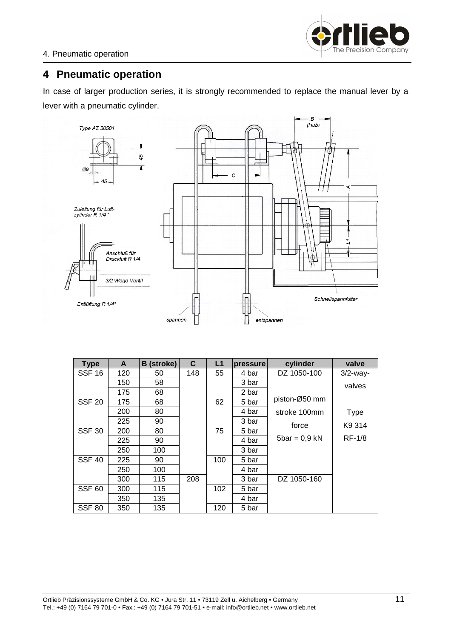

## **4 Pneumatic operation**

In case of larger production series, it is strongly recommended to replace the manual lever by a lever with a pneumatic cylinder.



| <b>Type</b>       | A   | <b>B</b> (stroke) | C   | L1  | pressure | cylinder       | valve       |
|-------------------|-----|-------------------|-----|-----|----------|----------------|-------------|
| <b>SSF 16</b>     | 120 | 50                | 148 | 55  | 4 bar    | DZ 1050-100    | $3/2$ -way- |
|                   | 150 | 58                |     |     | 3 bar    |                | valves      |
|                   | 175 | 68                |     |     | 2 bar    |                |             |
| <b>SSF 20</b>     | 175 | 68                |     | 62  | 5 bar    | piston-Ø50 mm  |             |
|                   | 200 | 80                |     |     | 4 bar    | stroke 100mm   | <b>Type</b> |
|                   | 225 | 90                |     |     | 3 bar    | force          | K9314       |
| <b>SSF 30</b>     | 200 | 80                |     | 75  | 5 bar    |                |             |
|                   | 225 | 90                |     |     | 4 bar    | $5ba = 0.9$ kN | $RF-1/8$    |
|                   | 250 | 100               |     |     | 3 bar    |                |             |
| <b>SSF 40</b>     | 225 | 90                |     | 100 | 5 bar    |                |             |
|                   | 250 | 100               |     |     | 4 bar    |                |             |
|                   | 300 | 115               | 208 |     | 3 bar    | DZ 1050-160    |             |
| SSF <sub>60</sub> | 300 | 115               |     | 102 | 5 bar    |                |             |
|                   | 350 | 135               |     |     | 4 bar    |                |             |
| <b>SSF 80</b>     | 350 | 135               |     | 120 | 5 bar    |                |             |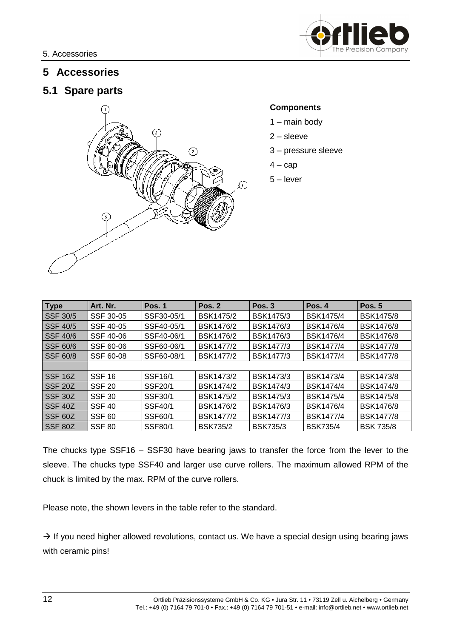

## **5 Accessories**

**5.1 Spare parts** 



#### **Components**

- 1 main body
- 2 sleeve
- 3 pressure sleeve
- $4 cap$
- 5 lever

| <b>Type</b>     | Art. Nr.          | Pos. 1     | Pos. $2$         | Pos. 3           | Pos. 4           | <b>Pos. 5</b>    |
|-----------------|-------------------|------------|------------------|------------------|------------------|------------------|
| <b>SSF 30/5</b> | SSF 30-05         | SSF30-05/1 | <b>BSK1475/2</b> | <b>BSK1475/3</b> | <b>BSK1475/4</b> | <b>BSK1475/8</b> |
| <b>SSF 40/5</b> | SSF 40-05         | SSF40-05/1 | <b>BSK1476/2</b> | <b>BSK1476/3</b> | <b>BSK1476/4</b> | <b>BSK1476/8</b> |
| <b>SSF 40/6</b> | SSF 40-06         | SSF40-06/1 | <b>BSK1476/2</b> | <b>BSK1476/3</b> | <b>BSK1476/4</b> | <b>BSK1476/8</b> |
| SSF 60/6        | SSF 60-06         | SSF60-06/1 | <b>BSK1477/2</b> | <b>BSK1477/3</b> | <b>BSK1477/4</b> | <b>BSK1477/8</b> |
| <b>SSF 60/8</b> | SSF 60-08         | SSF60-08/1 | <b>BSK1477/2</b> | <b>BSK1477/3</b> | <b>BSK1477/4</b> | <b>BSK1477/8</b> |
|                 |                   |            |                  |                  |                  |                  |
| <b>SSF 16Z</b>  | <b>SSF 16</b>     | SSF16/1    | <b>BSK1473/2</b> | <b>BSK1473/3</b> | <b>BSK1473/4</b> | <b>BSK1473/8</b> |
| <b>SSF 20Z</b>  | <b>SSF 20</b>     | SSF20/1    | <b>BSK1474/2</b> | <b>BSK1474/3</b> | <b>BSK1474/4</b> | <b>BSK1474/8</b> |
| SSF 30Z         | <b>SSF 30</b>     | SSF30/1    | <b>BSK1475/2</b> | <b>BSK1475/3</b> | <b>BSK1475/4</b> | <b>BSK1475/8</b> |
| <b>SSF 40Z</b>  | <b>SSF 40</b>     | SSF40/1    | <b>BSK1476/2</b> | <b>BSK1476/3</b> | <b>BSK1476/4</b> | <b>BSK1476/8</b> |
| SSF 60Z         | SSF <sub>60</sub> | SSF60/1    | <b>BSK1477/2</b> | <b>BSK1477/3</b> | <b>BSK1477/4</b> | <b>BSK1477/8</b> |
| <b>SSF 80Z</b>  | SSF <sub>80</sub> | SSF80/1    | <b>BSK735/2</b>  | <b>BSK735/3</b>  | <b>BSK735/4</b>  | <b>BSK 735/8</b> |

The chucks type SSF16 – SSF30 have bearing jaws to transfer the force from the lever to the sleeve. The chucks type SSF40 and larger use curve rollers. The maximum allowed RPM of the chuck is limited by the max. RPM of the curve rollers.

Please note, the shown levers in the table refer to the standard.

 $\rightarrow$  If you need higher allowed revolutions, contact us. We have a special design using bearing jaws with ceramic pins!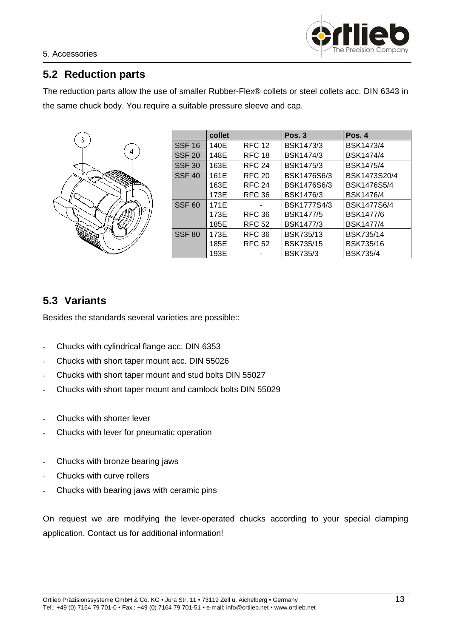#### 5. Accessories



## **5.2 Reduction parts**

The reduction parts allow the use of smaller Rubber-Flex® collets or steel collets acc. DIN 6343 in the same chuck body. You require a suitable pressure sleeve and cap.



|               | collet |               | Pos. 3             | Pos. 4             |
|---------------|--------|---------------|--------------------|--------------------|
| <b>SSF 16</b> | 140E   | <b>RFC 12</b> | <b>BSK1473/3</b>   | <b>BSK1473/4</b>   |
| <b>SSF 20</b> | 148E   | <b>RFC 18</b> | <b>BSK1474/3</b>   | <b>BSK1474/4</b>   |
| <b>SSF 30</b> | 163E   | <b>RFC 24</b> | <b>BSK1475/3</b>   | <b>BSK1475/4</b>   |
| <b>SSF 40</b> | 161E   | <b>RFC 20</b> | BSK1476S6/3        | BSK1473S20/4       |
|               | 163E   | <b>RFC 24</b> | BSK1476S6/3        | BSK1476S5/4        |
|               | 173E   | RFC 36        | <b>BSK1476/3</b>   | <b>BSK1476/4</b>   |
| <b>SSF 60</b> | 171E   |               | <b>BSK1777S4/3</b> | <b>BSK1477S6/4</b> |
|               | 173E   | <b>RFC 36</b> | <b>BSK1477/5</b>   | <b>BSK1477/6</b>   |
|               | 185E   | RFC 52        | <b>BSK1477/3</b>   | <b>BSK1477/4</b>   |
| <b>SSF 80</b> | 173E   | <b>RFC 36</b> | <b>BSK735/13</b>   | <b>BSK735/14</b>   |
|               | 185E   | <b>RFC 52</b> | <b>BSK735/15</b>   | BSK735/16          |
|               | 193E   |               | <b>BSK735/3</b>    | <b>BSK735/4</b>    |

## **5.3 Variants**

Besides the standards several varieties are possible::

- Chucks with cylindrical flange acc. DIN 6353
- Chucks with short taper mount acc. DIN 55026
- Chucks with short taper mount and stud bolts DIN 55027
- Chucks with short taper mount and camlock bolts DIN 55029
- Chucks with shorter lever
- Chucks with lever for pneumatic operation
- Chucks with bronze bearing jaws
- Chucks with curve rollers
- Chucks with bearing jaws with ceramic pins

On request we are modifying the lever-operated chucks according to your special clamping application. Contact us for additional information!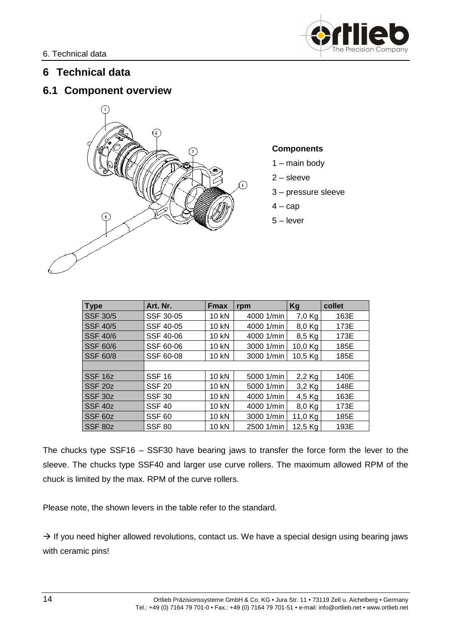

## **6 Technical data**

## **6.1 Component overview**



#### **Components**

- 1 main body
- 2 sleeve
- 3 pressure sleeve
- $4 cap$
- 5 lever

| <b>Type</b>        | Art. Nr.      | <b>Fmax</b>  | rpm        | Kg       | collet |
|--------------------|---------------|--------------|------------|----------|--------|
| <b>SSF 30/5</b>    | SSF 30-05     | <b>10 kN</b> | 4000 1/min | 7,0 Kg   | 163E   |
| <b>SSF 40/5</b>    | SSF 40-05     | 10 kN        | 4000 1/min | $8,0$ Kg | 173E   |
| <b>SSF 40/6</b>    | SSF 40-06     | 10 kN        | 4000 1/min | 8,5 Kg   | 173E   |
| SSF 60/6           | SSF 60-06     | 10 kN        | 3000 1/min | 10,0 Kg  | 185E   |
| <b>SSF 60/8</b>    | SSF 60-08     | 10 kN        | 3000 1/min | 10,5 Kg  | 185E   |
|                    |               |              |            |          |        |
| SSF <sub>16z</sub> | <b>SSF 16</b> | 10 kN        | 5000 1/min | $2,2$ Kg | 140E   |
| SSF <sub>20z</sub> | <b>SSF 20</b> | 10 kN        | 5000 1/min | $3,2$ Kg | 148E   |
| <b>SSF 30z</b>     | <b>SSF 30</b> | 10 kN        | 4000 1/min | $4,5$ Kg | 163E   |
| SSF <sub>40z</sub> | <b>SSF 40</b> | 10 kN        | 4000 1/min | 8,0 Kg   | 173E   |
| SSF 60z            | <b>SSF 60</b> | 10 kN        | 3000 1/min | 11,0 Kg  | 185E   |
| SSF 80z            | <b>SSF 80</b> | 10 kN        | 2500 1/min | 12,5 Kg  | 193E   |

The chucks type SSF16 – SSF30 have bearing jaws to transfer the force form the lever to the sleeve. The chucks type SSF40 and larger use curve rollers. The maximum allowed RPM of the chuck is limited by the max. RPM of the curve rollers.

Please note, the shown levers in the table refer to the standard.

 $\rightarrow$  If you need higher allowed revolutions, contact us. We have a special design using bearing jaws with ceramic pins!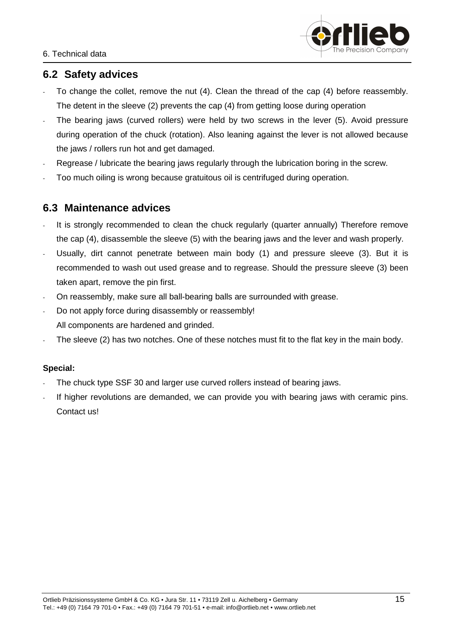

## **6.2 Safety advices**

- To change the collet, remove the nut (4). Clean the thread of the cap (4) before reassembly. The detent in the sleeve (2) prevents the cap (4) from getting loose during operation
- The bearing jaws (curved rollers) were held by two screws in the lever (5). Avoid pressure during operation of the chuck (rotation). Also leaning against the lever is not allowed because the jaws / rollers run hot and get damaged.
- Regrease / lubricate the bearing jaws regularly through the lubrication boring in the screw.
- Too much oiling is wrong because gratuitous oil is centrifuged during operation.

## **6.3 Maintenance advices**

- It is strongly recommended to clean the chuck regularly (quarter annually) Therefore remove the cap (4), disassemble the sleeve (5) with the bearing jaws and the lever and wash properly.
- Usually, dirt cannot penetrate between main body (1) and pressure sleeve (3). But it is recommended to wash out used grease and to regrease. Should the pressure sleeve (3) been taken apart, remove the pin first.
- On reassembly, make sure all ball-bearing balls are surrounded with grease.
- Do not apply force during disassembly or reassembly!

All components are hardened and grinded.

The sleeve (2) has two notches. One of these notches must fit to the flat key in the main body.

#### **Special:**

- The chuck type SSF 30 and larger use curved rollers instead of bearing jaws.
- If higher revolutions are demanded, we can provide you with bearing jaws with ceramic pins. Contact us!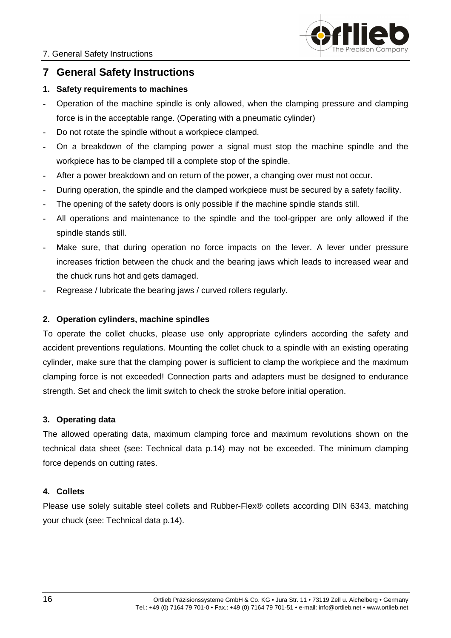

## **7 General Safety Instructions**

#### **1. Safety requirements to machines**

- **-** Operation of the machine spindle is only allowed, when the clamping pressure and clamping force is in the acceptable range. (Operating with a pneumatic cylinder)
- **-** Do not rotate the spindle without a workpiece clamped.
- **-** On a breakdown of the clamping power a signal must stop the machine spindle and the workpiece has to be clamped till a complete stop of the spindle.
- **-** After a power breakdown and on return of the power, a changing over must not occur.
- **-** During operation, the spindle and the clamped workpiece must be secured by a safety facility.
- **-** The opening of the safety doors is only possible if the machine spindle stands still.
- **-** All operations and maintenance to the spindle and the tool-gripper are only allowed if the spindle stands still.
- **-** Make sure, that during operation no force impacts on the lever. A lever under pressure increases friction between the chuck and the bearing jaws which leads to increased wear and the chuck runs hot and gets damaged.
- **-** Regrease / lubricate the bearing jaws / curved rollers regularly.

#### **2. Operation cylinders, machine spindles**

To operate the collet chucks, please use only appropriate cylinders according the safety and accident preventions regulations. Mounting the collet chuck to a spindle with an existing operating cylinder, make sure that the clamping power is sufficient to clamp the workpiece and the maximum clamping force is not exceeded! Connection parts and adapters must be designed to endurance strength. Set and check the limit switch to check the stroke before initial operation.

#### **3. Operating data**

The allowed operating data, maximum clamping force and maximum revolutions shown on the technical data sheet (see: Technical data p.14) may not be exceeded. The minimum clamping force depends on cutting rates.

#### **4. Collets**

Please use solely suitable steel collets and Rubber-Flex® collets according DIN 6343, matching your chuck (see: Technical data p.14).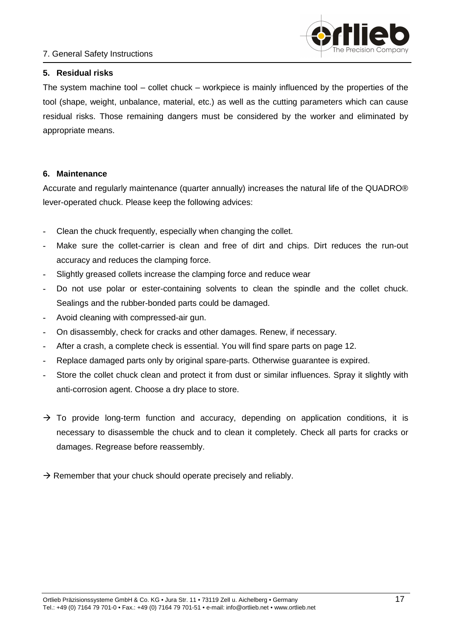

#### **5. Residual risks**

The system machine tool – collet chuck – workpiece is mainly influenced by the properties of the tool (shape, weight, unbalance, material, etc.) as well as the cutting parameters which can cause residual risks. Those remaining dangers must be considered by the worker and eliminated by appropriate means.

#### **6. Maintenance**

Accurate and regularly maintenance (quarter annually) increases the natural life of the QUADRO® lever-operated chuck. Please keep the following advices:

- **-** Clean the chuck frequently, especially when changing the collet.
- **-** Make sure the collet-carrier is clean and free of dirt and chips. Dirt reduces the run-out accuracy and reduces the clamping force.
- **-** Slightly greased collets increase the clamping force and reduce wear
- **-** Do not use polar or ester-containing solvents to clean the spindle and the collet chuck. Sealings and the rubber-bonded parts could be damaged.
- **-** Avoid cleaning with compressed-air gun.
- **-** On disassembly, check for cracks and other damages. Renew, if necessary.
- **-** After a crash, a complete check is essential. You will find spare parts on page 12.
- **-** Replace damaged parts only by original spare-parts. Otherwise guarantee is expired.
- **-** Store the collet chuck clean and protect it from dust or similar influences. Spray it slightly with anti-corrosion agent. Choose a dry place to store.
- $\rightarrow$  To provide long-term function and accuracy, depending on application conditions, it is necessary to disassemble the chuck and to clean it completely. Check all parts for cracks or damages. Regrease before reassembly.
- $\rightarrow$  Remember that your chuck should operate precisely and reliably.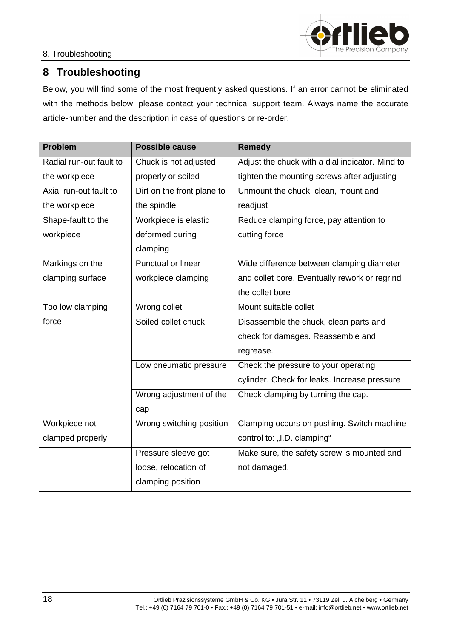

#### 8. Troubleshooting

## **8 Troubleshooting**

Below, you will find some of the most frequently asked questions. If an error cannot be eliminated with the methods below, please contact your technical support team. Always name the accurate article-number and the description in case of questions or re-order.

| Problem                 | <b>Possible cause</b>      | Remedy                                          |  |
|-------------------------|----------------------------|-------------------------------------------------|--|
| Radial run-out fault to | Chuck is not adjusted      | Adjust the chuck with a dial indicator. Mind to |  |
| the workpiece           | properly or soiled         | tighten the mounting screws after adjusting     |  |
| Axial run-out fault to  | Dirt on the front plane to | Unmount the chuck, clean, mount and             |  |
| the workpiece           | the spindle                | readjust                                        |  |
| Shape-fault to the      | Workpiece is elastic       | Reduce clamping force, pay attention to         |  |
| workpiece               | deformed during            | cutting force                                   |  |
|                         | clamping                   |                                                 |  |
| Markings on the         | Punctual or linear         | Wide difference between clamping diameter       |  |
| clamping surface        | workpiece clamping         | and collet bore. Eventually rework or regrind   |  |
|                         |                            | the collet bore                                 |  |
| Too low clamping        | Wrong collet               | Mount suitable collet                           |  |
| force                   | Soiled collet chuck        | Disassemble the chuck, clean parts and          |  |
|                         |                            | check for damages. Reassemble and               |  |
|                         |                            | regrease.                                       |  |
|                         | Low pneumatic pressure     | Check the pressure to your operating            |  |
|                         |                            | cylinder. Check for leaks. Increase pressure    |  |
|                         | Wrong adjustment of the    | Check clamping by turning the cap.              |  |
|                         | cap                        |                                                 |  |
| Workpiece not           | Wrong switching position   | Clamping occurs on pushing. Switch machine      |  |
| clamped properly        |                            | control to: "I.D. clamping"                     |  |
|                         | Pressure sleeve got        | Make sure, the safety screw is mounted and      |  |
|                         | loose, relocation of       | not damaged.                                    |  |
|                         | clamping position          |                                                 |  |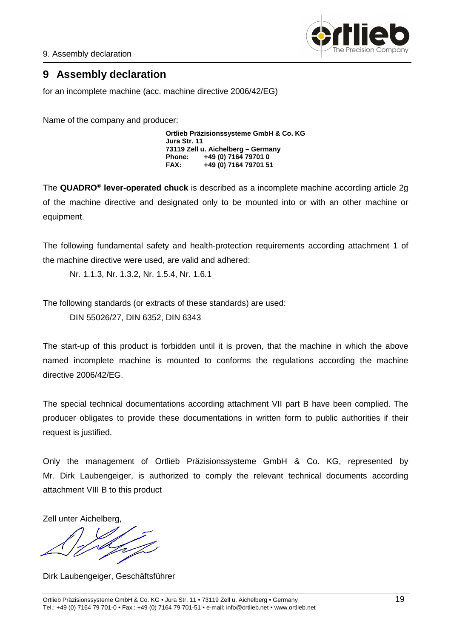9. Assembly declaration



## **9 Assembly declaration**

for an incomplete machine (acc. machine directive 2006/42/EG)

Name of the company and producer:

**Ortlieb Präzisionssysteme GmbH & Co. KG Jura Str. 11 73119 Zell u. Aichelberg – Germany Phone: +49 (0) 7164 79701 0 FAX: +49 (0) 7164 79701 51** 

The **QUADRO® lever-operated chuck** is described as a incomplete machine according article 2g of the machine directive and designated only to be mounted into or with an other machine or equipment.

The following fundamental safety and health-protection requirements according attachment 1 of the machine directive were used, are valid and adhered:

Nr. 1.1.3, Nr. 1.3.2, Nr. 1.5.4, Nr. 1.6.1

The following standards (or extracts of these standards) are used:

DIN 55026/27, DIN 6352, DIN 6343

The start-up of this product is forbidden until it is proven, that the machine in which the above named incomplete machine is mounted to conforms the regulations according the machine directive 2006/42/EG.

The special technical documentations according attachment VII part B have been complied. The producer obligates to provide these documentations in written form to public authorities if their request is justified.

Only the management of Ortlieb Präzisionssysteme GmbH & Co. KG, represented by Mr. Dirk Laubengeiger, is authorized to comply the relevant technical documents according attachment VIII B to this product

Zell unter Aichelberg,

Dirk Laubengeiger, Geschäftsführer